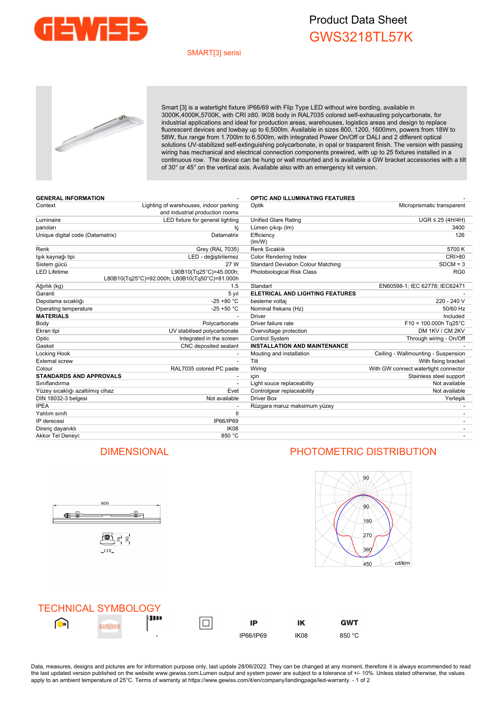

## Product Data Sheet GWS3218TL57K

### SMART[3] serisi



Smart [3] is a watertight fixture IP66/69 with Flip Type LED without wire bording, available in 3000K,4000K,5700K, with CRI ≥80. IK08 body in RAL7035 colored self-exhausting polycarbonate, for industrial applications and ideal for production areas, warehouses, logistics areas and design to replace fluorescent devices and lowbay up to 6,500lm. Available in sizes 800, 1200, 1600mm, powers from 18W to 58W, flux range from 1.700lm to 6.500lm, with integrated Power On/Off or DALI and 2 different optical solutions UV-stabilized self-extinguishing polycarbonate, in opal or trasparent finish. The version with passing wiring has mechanical and electrical connection components prewired, with up to 25 fixtures installed in a continuous row. The device can be hung or wall mounted and is available a GW bracket accessories with a tilt of 30° or 45° on the vertical axis. Available also with an emergency kit version.

| <b>GENERAL INFORMATION</b>       |                                                                           | <b>OPTIC AND ILLUMINATING FEATURES</b>    |                                      |
|----------------------------------|---------------------------------------------------------------------------|-------------------------------------------|--------------------------------------|
| Context                          | Lighting of warehouses, indoor parking<br>and industrial production rooms | Microprismatic transparent<br>Optik       |                                      |
| Luminaire                        | LED fixture for general lighting                                          | <b>Unified Glare Rating</b>               | $UGR \leq 25$ (4H/4H)                |
| panoları                         | lç                                                                        | Lümen çıkışı (Im)                         | 3400                                 |
| Unique digital code (Datamatrix) | Datamatrix                                                                | Efficiency<br>(lm/W)                      | 126                                  |
| Renk                             | Grey (RAL 7035)                                                           | <b>Renk Sıcaklık</b>                      | 5700 K                               |
| lşık kaynağı tipi                | LED - değiştirilemez                                                      | <b>Color Rendering Index</b>              | <b>CRI&gt;80</b>                     |
| Sistem gücü                      | 27 W                                                                      | <b>Standard Deviation Colour Matching</b> | $SDCM = 3$                           |
| <b>LED Lifetime</b>              | L90B10(Tg25°C)=45.000h;<br>L80B10(Tg25°C)=92.000h; L80B10(Tg50°C)=81.000h | Photobiological Risk Class                | RG <sub>0</sub>                      |
| Ağırlık (kg)                     | 1.5                                                                       | Standart                                  | EN60598-1; IEC 62778; IEC62471       |
| Garanti                          | 5 yıl                                                                     | <b>ELETRICAL AND LIGHTING FEATURES</b>    |                                      |
| Depolama sıcaklığı               | $-25 + 80 °C$                                                             | besleme voltaj                            | 220 - 240 V                          |
| Operating temperature            | $-25 + 50 °C$                                                             | Nominal frekans (Hz)                      | 50/60 Hz                             |
| <b>MATERIALS</b>                 |                                                                           | <b>Driver</b>                             | Included                             |
| Body                             | Polycarbonate                                                             | Driver failure rate                       | $F10 = 100.000h$ Tg25°C              |
| Ekran tipi                       | UV stabilised polycarbonate                                               | Overvoltage protection                    | DM 1KV / CM 2KV                      |
| Optic                            | Integrated in the screen                                                  | <b>Control System</b>                     | Through wiring - On/Off              |
| Gasket                           | CNC deposited sealant                                                     | <b>INSTALLATION AND MAINTENANCE</b>       |                                      |
| Locking Hook                     |                                                                           | Mouting and installation                  | Ceiling - Wallmounting - Suspension  |
| <b>External screw</b>            |                                                                           | Tilt                                      | With fixing bracket                  |
| Colour                           | RAL7035 colored PC paste                                                  | Wiring                                    | With GW connect watertight connector |
| <b>STANDARDS AND APPROVALS</b>   |                                                                           | icin                                      | Stainless steel support              |
| Sınıflandırma                    |                                                                           | Light souce replaceability                | Not available                        |
| Yüzey sıcaklığı azaltılmış cihaz | Evet                                                                      | Controlgear replaceability                | Not available                        |
| DIN 18032-3 belgesi              | Not available                                                             | Driver Box                                | Yerleşik                             |
| <b>IPEA</b>                      |                                                                           | Rüzgara maruz maksimum yüzey              |                                      |
| Yalıtım sınıfı                   | $\mathbf{I}$                                                              |                                           |                                      |
| IP derecesi                      | IP66/IP69                                                                 |                                           |                                      |
| Direnç dayanıklı                 | IK <sub>08</sub>                                                          |                                           |                                      |
| Akkor Tel Deneyi:                | 850 °C                                                                    |                                           |                                      |



## DIMENSIONAL PHOTOMETRIC DISTRIBUTION



|   | <b>TECHNICAL SYMBOLOGY</b> |                          |           |      |            |
|---|----------------------------|--------------------------|-----------|------|------------|
| D |                            | 4 I I                    | IP        |      | <b>GWT</b> |
|   |                            | $\overline{\phantom{0}}$ | IP66/IP69 | IK08 | 850 °C     |

Data, measures, designs and pictures are for information purpose only, last update 28/06/2022. They can be changed at any moment, therefore it is always ecommended to read the last updated version published on the website www.gewiss.com.Lumen output and system power are subject to a tolerance of +/- 10%. Unless stated otherwise, the values apply to an ambient temperature of 25°C. Terms of warranty at https://www.gewiss.com/it/en/company/landingpage/led-warranty. - 1 of 2